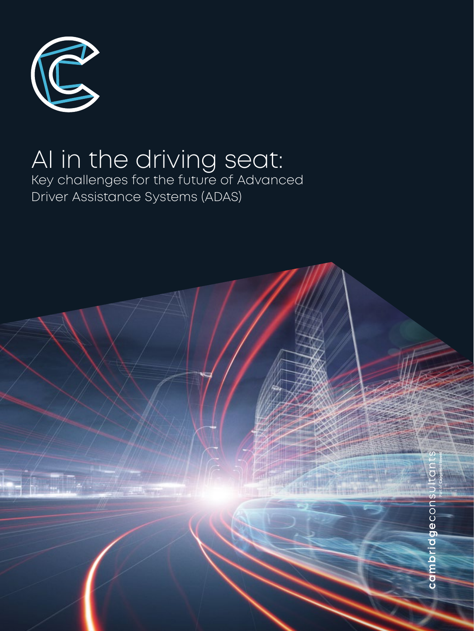

# AI in the driving seat: Key challenges for the future of Advanced Driver Assistance Systems (ADAS)

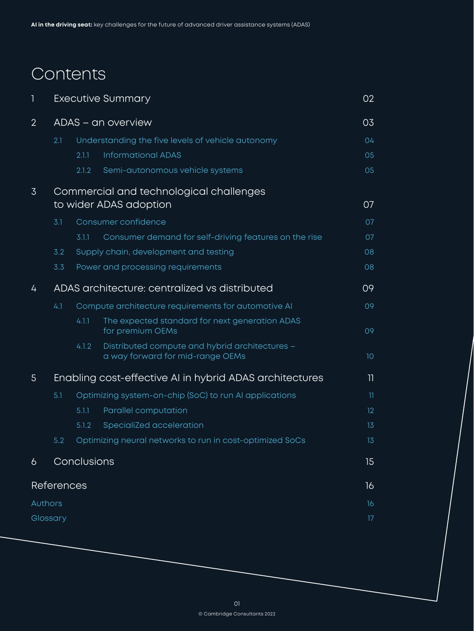# Contents

| I              |                                                                   | <b>Executive Summary</b>                               |                                                                                    |                 |  |  |
|----------------|-------------------------------------------------------------------|--------------------------------------------------------|------------------------------------------------------------------------------------|-----------------|--|--|
| $\overline{2}$ | ADAS - an overview                                                |                                                        |                                                                                    |                 |  |  |
|                | 2.1                                                               | Understanding the five levels of vehicle autonomy      |                                                                                    |                 |  |  |
|                |                                                                   | 2.1.1                                                  | <b>Informational ADAS</b>                                                          | 05              |  |  |
|                |                                                                   | 2.1.2                                                  | Semi-autonomous vehicle systems                                                    | 05              |  |  |
| $\overline{3}$ | Commercial and technological challenges<br>to wider ADAS adoption |                                                        |                                                                                    |                 |  |  |
|                | 3.1                                                               |                                                        | Consumer confidence                                                                | 07              |  |  |
|                |                                                                   | 3.1.1                                                  | Consumer demand for self-driving features on the rise                              | 07              |  |  |
|                | 3.2                                                               |                                                        | Supply chain, development and testing                                              | 08              |  |  |
|                | 3.3                                                               |                                                        | Power and processing requirements                                                  | 08              |  |  |
| 4              | ADAS architecture: centralized vs distributed                     |                                                        |                                                                                    |                 |  |  |
|                | 4.1                                                               | Compute architecture requirements for automotive AI    |                                                                                    |                 |  |  |
|                |                                                                   | 4.1.1                                                  | The expected standard for next generation ADAS<br>for premium OEMs                 | 09              |  |  |
|                |                                                                   | 4.1.2                                                  | Distributed compute and hybrid architectures -<br>a way forward for mid-range OEMs | 10 <sup>°</sup> |  |  |
| 5 <sup>5</sup> | Enabling cost-effective AI in hybrid ADAS architectures<br>11     |                                                        |                                                                                    |                 |  |  |
|                | 5.1                                                               | Optimizing system-on-chip (SoC) to run AI applications |                                                                                    |                 |  |  |
|                |                                                                   | 5.1.1                                                  | Parallel computation                                                               | 12 <sup>°</sup> |  |  |
|                |                                                                   | 5.1.2                                                  | SpecialiZed acceleration                                                           | 13              |  |  |
|                | 5.2                                                               |                                                        | Optimizing neural networks to run in cost-optimized SoCs                           | 13              |  |  |
| 6              |                                                                   | Conclusions                                            |                                                                                    |                 |  |  |
|                | <b>References</b>                                                 |                                                        |                                                                                    | 16              |  |  |
| Authors        |                                                                   |                                                        |                                                                                    |                 |  |  |
| Glossary       |                                                                   |                                                        |                                                                                    | 17              |  |  |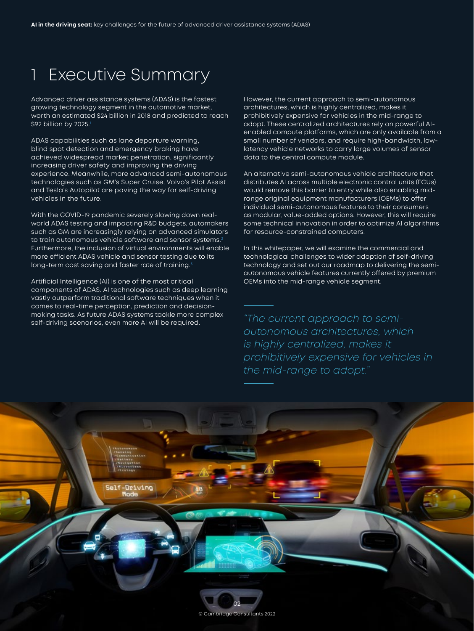## <span id="page-2-0"></span>1 Executive Summary

Advanced driver assistance systems (ADAS) is the fastest growing technology segment in the automotive market, worth an estimated \$24 billion in 2018 and predicted to reach \$92 billion by 2025.[1](#page-16-0)

ADAS capabilities such as lane departure warning, blind spot detection and emergency braking have achieved widespread market penetration, significantly increasing driver safety and improving the driving experience. Meanwhile, more advanced semi-autonomous technologies such as GM's Super Cruise, Volvo's Pilot Assist and Tesla's Autopilot are paving the way for self-driving vehicles in the future.

With the COVID-19 pandemic severely slowing down realworld ADAS testing and impacting R&D budgets, automakers such as GM are increasingly relying on advanced simulators to train autonomous vehicle software and sensor systems.<sup>[2](#page-16-0)</sup> Furthermore, the inclusion of virtual environments will enable more efficient ADAS vehicle and sensor testing due to its long-term cost saving and faster rate of training.<sup>3</sup>

Artificial Intelligence (AI) is one of the most critical components of ADAS. AI technologies such as deep learning vastly outperform traditional software techniques when it comes to real-time perception, prediction and decisionmaking tasks. As future ADAS systems tackle more complex self-driving scenarios, even more AI will be required.

However, the current approach to semi-autonomous architectures, which is highly centralized, makes it prohibitively expensive for vehicles in the mid-range to adopt. These centralized architectures rely on powerful AIenabled compute platforms, which are only available from a small number of vendors, and require high-bandwidth, lowlatency vehicle networks to carry large volumes of sensor data to the central compute module.

An alternative semi-autonomous vehicle architecture that distributes AI across multiple electronic control units (ECUs) would remove this barrier to entry while also enabling midrange original equipment manufacturers (OEMs) to offer individual semi-autonomous features to their consumers as modular, value-added options. However, this will require some technical innovation in order to optimize AI algorithms for resource-constrained computers.

In this whitepaper, we will examine the commercial and technological challenges to wider adoption of self-driving technology and set out our roadmap to delivering the semiautonomous vehicle features currently offered by premium OEMs into the mid-range vehicle segment.

*"The current approach to semiautonomous architectures, which is highly centralized, makes it prohibitively expensive for vehicles in the mid-range to adopt."* 

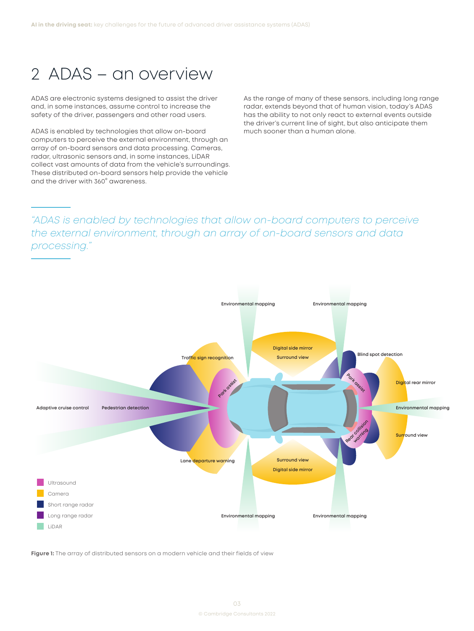# <span id="page-3-0"></span>2 ADAS – an overview

ADAS are electronic systems designed to assist the driver and, in some instances, assume control to increase the safety of the driver, passengers and other road users.

ADAS is enabled by technologies that allow on-board computers to perceive the external environment, through an array of on-board sensors and data processing. Cameras, radar, ultrasonic sensors and, in some instances, LiDAR collect vast amounts of data from the vehicle's surroundings. These distributed on-board sensors help provide the vehicle and the driver with 360° awareness.

As the range of many of these sensors, including long range radar, extends beyond that of human vision, today's ADAS has the ability to not only react to external events outside the driver's current line of sight, but also anticipate them much sooner than a human alone.

## *"ADAS is enabled by technologies that allow on-board computers to perceive the external environment, through an array of on-board sensors and data processing."*



**Figure 1:** The array of distributed sensors on a modern vehicle and their fields of view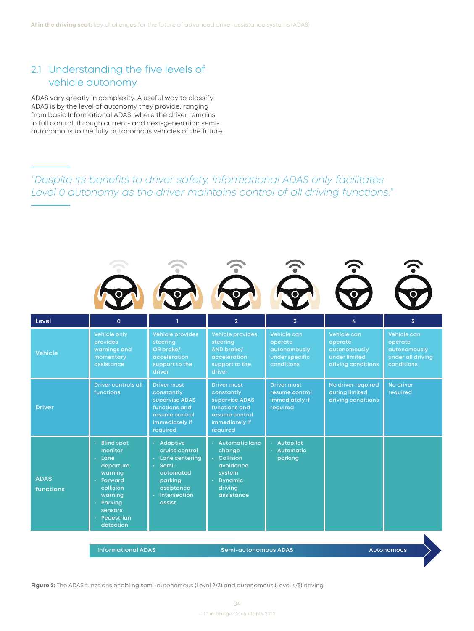## <span id="page-4-0"></span>2.1 Understanding the five levels of vehicle autonomy

ADAS vary greatly in complexity. A useful way to classify ADAS is by the level of autonomy they provide, ranging from basic Informational ADAS, where the driver remains in full control, through current- and next-generation semiautonomous to the fully autonomous vehicles of the future.

## *"Despite its benefits to driver safety, Informational ADAS only facilitates Level 0 autonomy as the driver maintains control of all driving functions."*



**Figure 2:** The ADAS functions enabling semi-autonomous (Level 2/3) and autonomous (Level 4/5) driving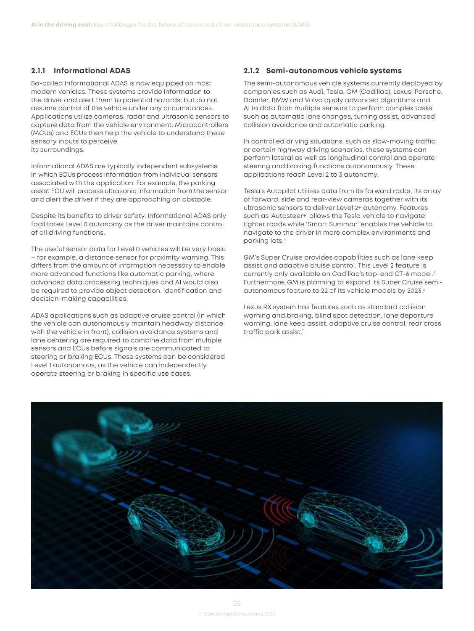### <span id="page-5-0"></span>**2.1.1 Informational ADAS**

So-called Informational ADAS is now equipped on most modern vehicles. These systems provide information to the driver and alert them to potential hazards, but do not assume control of the vehicle under any circumstances. Applications utilize cameras, radar and ultrasonic sensors to capture data from the vehicle environment. Microcontrollers (MCUs) and ECUs then help the vehicle to understand these sensory inputs to perceive its surroundings.

Informational ADAS are typically independent subsystems in which ECUs process information from individual sensors associated with the application. For example, the parking assist ECU will process ultrasonic information from the sensor and alert the driver if they are approaching an obstacle.

Despite its benefits to driver safety, Informational ADAS only facilitates Level 0 autonomy as the driver maintains control of all driving functions.

The useful sensor data for Level 0 vehicles will be very basic – for example, a distance sensor for proximity warning. This differs from the amount of information necessary to enable more advanced functions like automatic parking, where advanced data processing techniques and AI would also be required to provide object detection, identification and decision-making capabilities.

ADAS applications such as adaptive cruise control (in which the vehicle can autonomously maintain headway distance with the vehicle in front), collision avoidance systems and lane centering are required to combine data from multiple sensors and ECUs before signals are communicated to steering or braking ECUs. These systems can be considered Level 1 autonomous, as the vehicle can independently operate steering or braking in specific use cases.

#### **2.1.2 Semi-autonomous vehicle systems**

The semi-autonomous vehicle systems currently deployed by companies such as Audi, Tesla, GM (Cadillac), Lexus, Porsche, Daimler, BMW and Volvo apply advanced algorithms and AI to data from multiple sensors to perform complex tasks, such as automatic lane changes, turning assist, advanced collision avoidance and automatic parking.

In controlled driving situations, such as slow-moving traffic or certain highway driving scenarios, these systems can perform lateral as well as longitudinal control and operate steering and braking functions autonomously. These applications reach Level 2 to 3 autonomy.

Tesla's Autopilot utilizes data from its forward radar, its array of forward, side and rear-view cameras together with its ultrasonic sensors to deliver Level 2+ autonomy. Features such as 'Autosteer+' allows the Tesla vehicle to navigate tighter roads while 'Smart Summon' enables the vehicle to navigate to the driver in more complex environments and parking lots.[4](#page-16-0)

GM's Super Cruise provides capabilities such as lane keep assist and adaptive cruise control. This Level 2 feature is currently only available on Cadillac's top-end CT-6 model.[5](#page-16-0) Furthermore, GM is planning to expand its Super Cruise semiautonomous feature to 22 of its vehicle models by 2023.[6](#page-16-0)

Lexus RX system has features such as standard collision warning and braking, blind spot detection, lane departure warning, lane keep assist, adaptive cruise control, rear cross traffic park assist[.7](#page-16-0)

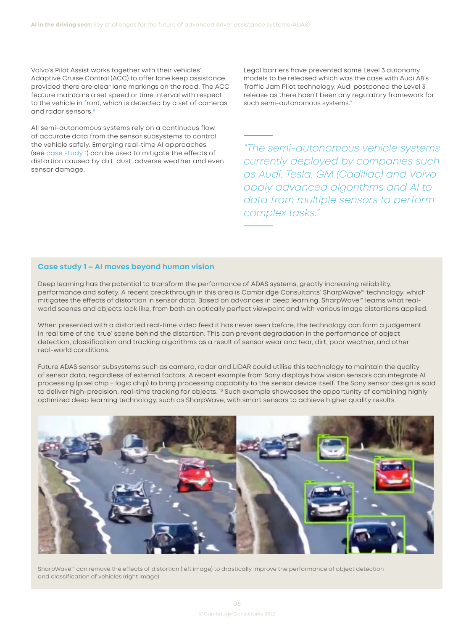<span id="page-6-0"></span>Volvo's Pilot Assist works together with their vehicles' Adaptive Cruise Control (ACC) to offer lane keep assistance, provided there are clear lane markings on the road. The ACC feature maintains a set speed or time interval with respect to the vehicle in front, which is detected by a set of cameras and radar sensors.[8](#page-16-0)

All semi-autonomous systems rely on a continuous flow of accurate data from the sensor subsystems to control the vehicle safely. Emerging real-time AI approaches (see case study 1) can be used to mitigate the effects of distortion caused by dirt, dust, adverse weather and even sensor damage.

Legal barriers have prevented some Level 3 autonomy models to be released which was the case with Audi A8's Traffic Jam Pilot technology. Audi postponed the Level 3 release as there hasn't been any regulatory framework for such semi-autonomous systems.<sup>9</sup>

*"The semi-autonomous vehicle systems currently deployed by companies such as Audi, Tesla, GM (Cadillac) and Volvo apply advanced algorithms and AI to data from multiple sensors to perform complex tasks."*

### **Case study 1 – AI moves beyond human vision**

Deep learning has the potential to transform the performance of ADAS systems, greatly increasing reliability, performance and safety. A recent breakthrough in this area is Cambridge Consultants' SharpWave™ technology, which mitigates the effects of distortion in sensor data. Based on advances in deep learning, SharpWave™ learns what realworld scenes and objects look like, from both an optically perfect viewpoint and with various image distortions applied.

When presented with a distorted real-time video feed it has never seen before, the technology can form a judgement in real time of the 'true' scene behind the distortion. This can prevent degradation in the performance of object detection, classification and tracking algorithms as a result of sensor wear and tear, dirt, poor weather, and other real-world conditions.

Future ADAS sensor subsystems such as camera, radar and LIDAR could utilise this technology to maintain the quality of sensor data, regardless of external factors. A recent example from Sony displays how vision sensors can integrate AI processing (pixel chip + logic chip) to bring processing capability to the sensor device itself. The Sony sensor design is said to deliver high-precision, real-time tracking for objects. <sup>[10](#page-16-0)</sup> Such example showcases the opportunity of combining highly optimized deep learning technology, such as SharpWave, with smart sensors to achieve higher quality results.



SharpWave™ can remove the effects of distortion (left image) to drastically improve the performance of object detection and classification of vehicles (right image)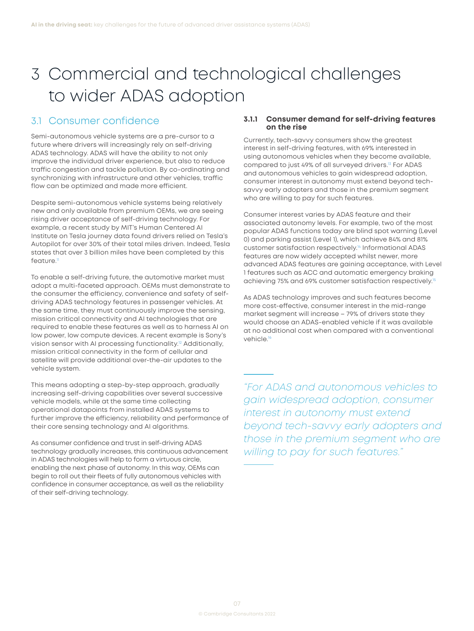# <span id="page-7-0"></span>3 Commercial and technological challenges to wider ADAS adoption

### 3.1 Consumer confidence

Semi-autonomous vehicle systems are a pre-cursor to a future where drivers will increasingly rely on self-driving ADAS technology. ADAS will have the ability to not only improve the individual driver experience, but also to reduce traffic congestion and tackle pollution. By co-ordinating and synchronizing with infrastructure and other vehicles, traffic flow can be optimized and made more efficient.

Despite semi-autonomous vehicle systems being relatively new and only available from premium OEMs, we are seeing rising driver acceptance of self-driving technology. For example, a recent study by MIT's Human Centered AI Institute on Tesla journey data found drivers relied on Tesla's Autopilot for over 30% of their total miles driven. Indeed, Tesla states that over 3 billion miles have been completed by this feature.<sup>11</sup>

To enable a self-driving future, the automotive market must adopt a multi-faceted approach. OEMs must demonstrate to the consumer the efficiency, convenience and safety of selfdriving ADAS technology features in passenger vehicles. At the same time, they must continuously improve the sensing, mission critical connectivity and AI technologies that are required to enable these features as well as to harness AI on low power, low compute devices. A recent example is Sony's vision sensor with AI processing functionality.<sup>12</sup> Additionally, mission critical connectivity in the form of cellular and satellite will provide additional over-the-air updates to the vehicle system.

This means adopting a step-by-step approach, gradually increasing self-driving capabilities over several successive vehicle models, while at the same time collecting operational datapoints from installed ADAS systems to further improve the efficiency, reliability and performance of their core sensing technology and AI algorithms.

As consumer confidence and trust in self-driving ADAS technology gradually increases, this continuous advancement in ADAS technologies will help to form a virtuous circle, enabling the next phase of autonomy. In this way, OEMs can begin to roll out their fleets of fully autonomous vehicles with confidence in consumer acceptance, as well as the reliability of their self-driving technology.

### **3.1.1 Consumer demand for self-driving features on the rise**

Currently, tech-savvy consumers show the greatest interest in self-driving features, with 69% interested in using autonomous vehicles when they become available, compared to just 49% of all surveyed drivers[.13](#page-16-0) For ADAS and autonomous vehicles to gain widespread adoption, consumer interest in autonomy must extend beyond techsavvy early adopters and those in the premium segment who are willing to pay for such features.

Consumer interest varies by ADAS feature and their associated autonomy levels. For example, two of the most popular ADAS functions today are blind spot warning (Level 0) and parking assist (Level 1), which achieve 84% and 81% customer satisfaction respectively[.14](#page-16-0) Informational ADAS features are now widely accepted whilst newer, more advanced ADAS features are gaining acceptance, with Level 1 features such as ACC and automatic emergency braking achieving 75% and 69% customer satisfaction respectively.[15](#page-16-0)

As ADAS technology improves and such features become more cost-effective, consumer interest in the mid-range market seament will increase – 79% of drivers state they would choose an ADAS-enabled vehicle if it was available at no additional cost when compared with a conventional vehicle.<sup>16</sup>

*"For ADAS and autonomous vehicles to gain widespread adoption, consumer interest in autonomy must extend beyond tech-savvy early adopters and those in the premium segment who are willing to pay for such features."*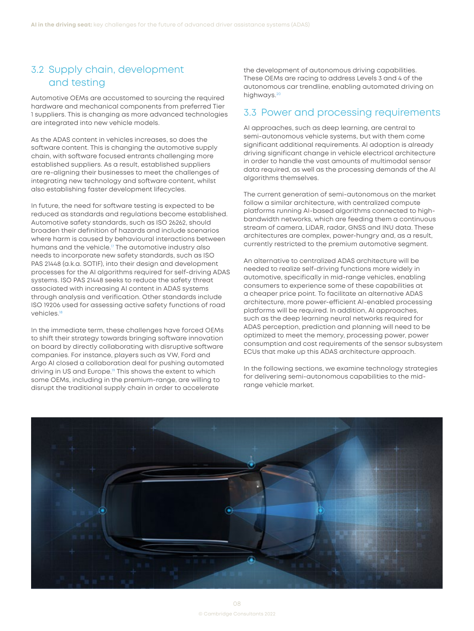## <span id="page-8-0"></span>3.2 Supply chain, development and testing

Automotive OEMs are accustomed to sourcing the required hardware and mechanical components from preferred Tier 1 suppliers. This is changing as more advanced technologies are integrated into new vehicle models.

As the ADAS content in vehicles increases, so does the software content. This is changing the automotive supply chain, with software focused entrants challenging more established suppliers. As a result, established suppliers are re-aligning their businesses to meet the challenges of integrating new technology and software content, whilst also establishing faster development lifecycles.

In future, the need for software testing is expected to be reduced as standards and regulations become established. Automotive safety standards, such as ISO 26262, should broaden their definition of hazards and include scenarios where harm is caused by behavioural interactions between humans and the vehicle.<sup>17</sup> The automotive industry also needs to incorporate new safety standards, such as ISO PAS 21448 (a.k.a. SOTIF), into their design and development processes for the AI algorithms required for self-driving ADAS systems. ISO PAS 21448 seeks to reduce the safety threat associated with increasing AI content in ADAS systems through analysis and verification. Other standards include ISO 19206 used for assessing active safety functions of road vehicles.<sup>18</sup>

In the immediate term, these challenges have forced OEMs to shift their strategy towards bringing software innovation on board by directly collaborating with disruptive software companies. For instance, players such as VW, Ford and Argo AI closed a collaboration deal for pushing automated driving in US and Europe.<sup>19</sup> This shows the extent to which some OEMs, including in the premium-range, are willing to disrupt the traditional supply chain in order to accelerate

the development of autonomous driving capabilities. These OEMs are racing to address Levels 3 and 4 of the autonomous car trendline, enabling automated driving on highways.<sup>20</sup>

### 3.3 Power and processing requirements

AI approaches, such as deep learning, are central to semi-autonomous vehicle systems, but with them come significant additional requirements. AI adoption is already driving significant change in vehicle electrical architecture in order to handle the vast amounts of multimodal sensor data required, as well as the processing demands of the AI algorithms themselves.

The current generation of semi-autonomous on the market follow a similar architecture, with centralized compute platforms running AI-based algorithms connected to highbandwidth networks, which are feeding them a continuous stream of camera, LiDAR, radar, GNSS and INU data. These architectures are complex, power-hungry and, as a result, currently restricted to the premium automotive segment.

An alternative to centralized ADAS architecture will be needed to realize self-driving functions more widely in automotive, specifically in mid-range vehicles, enabling consumers to experience some of these capabilities at a cheaper price point. To facilitate an alternative ADAS architecture, more power-efficient AI-enabled processing platforms will be required. In addition, AI approaches, such as the deep learning neural networks required for ADAS perception, prediction and planning will need to be optimized to meet the memory, processing power, power consumption and cost requirements of the sensor subsystem ECUs that make up this ADAS architecture approach.

In the following sections, we examine technology strategies for delivering semi-autonomous capabilities to the midrange vehicle market.

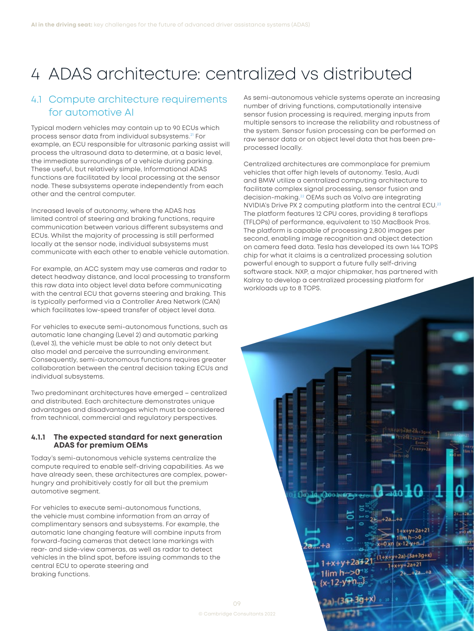# <span id="page-9-0"></span>4 ADAS architecture: centralized vs distributed

## 4.1 Compute architecture requirements for automotive AI

Typical modern vehicles may contain up to 90 ECUs which process sensor data from individual subsystems.<sup>[21](#page-16-0)</sup> For example, an ECU responsible for ultrasonic parking assist will process the ultrasound data to determine, at a basic level, the immediate surroundings of a vehicle during parking. These useful, but relatively simple, Informational ADAS functions are facilitated by local processing at the sensor node. These subsystems operate independently from each other and the central computer.

Increased levels of autonomy, where the ADAS has limited control of steering and braking functions, require communication between various different subsystems and ECUs. Whilst the majority of processing is still performed locally at the sensor node, individual subsystems must communicate with each other to enable vehicle automation.

For example, an ACC system may use cameras and radar to detect headway distance, and local processing to transform this raw data into object level data before communicating with the central ECU that governs steering and braking. This is typically performed via a Controller Area Network (CAN) which facilitates low-speed transfer of object level data.

For vehicles to execute semi-autonomous functions, such as automatic lane changing (Level 2) and automatic parking (Level 3), the vehicle must be able to not only detect but also model and perceive the surrounding environment. Consequently, semi-autonomous functions requires greater collaboration between the central decision taking ECUs and individual subsystems.

Two predominant architectures have emerged – centralized and distributed. Each architecture demonstrates unique advantages and disadvantages which must be considered from technical, commercial and regulatory perspectives.

### **4.1.1 The expected standard for next generation ADAS for premium OEMs**

Today's semi-autonomous vehicle systems centralize the compute required to enable self-driving capabilities. As we have already seen, these architectures are complex, powerhungry and prohibitively costly for all but the premium automotive segment.

For vehicles to execute semi-autonomous functions, the vehicle must combine information from an array of complimentary sensors and subsystems. For example, the automatic lane changing feature will combine inputs from forward-facing cameras that detect lane markings with rear- and side-view cameras, as well as radar to detect vehicles in the blind spot, before issuing commands to the central ECU to operate steering and braking functions.

As semi-autonomous vehicle systems operate an increasing number of driving functions, computationally intensive sensor fusion processing is required, merging inputs from multiple sensors to increase the reliability and robustness of the system. Sensor fusion processing can be performed on raw sensor data or on object level data that has been preprocessed locally.

Centralized architectures are commonplace for premium vehicles that offer high levels of autonomy. Tesla, Audi and BMW utilize a centralized computing architecture to facilitate complex signal processing, sensor fusion and decision-making[.22](#page-16-0) OEMs such as Volvo are integrating NVIDIA's Drive PX 2 computing platform into the central ECU.<sup>[23](#page-16-0)</sup> The platform features 12 CPU cores, providing 8 teraflops (TFLOPs) of performance, equivalent to 150 MacBook Pros. The platform is capable of processing 2,800 images per second, enabling image recognition and object detection on camera feed data. Tesla has developed its own 144 TOPS chip for what it claims is a centralized processing solution powerful enough to support a future fully self-driving software stack. NXP, a major chipmaker, has partnered with Kalray to develop a centralized processing platform for workloads up to 8 TOPS.

 $1.4011$ 

 $1 + x + y + 2a + 21$  $x=0$  xr  $\frac{1}{1}$  x-12 y+n...  $-(1+x+y+2a)-(3a+3g+x)$ 

> $+2a$ 74

 $1+x+y+2a+21$ 

 $+2a$ 

 $1 + x + y + 2a + 21$ 

 $1$ lim h $\rightarrow$ 0

 $\{x - 12 - y\}$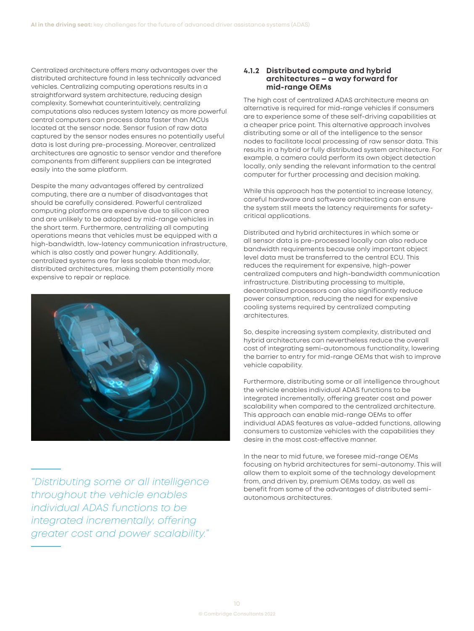<span id="page-10-0"></span>Centralized architecture offers many advantages over the distributed architecture found in less technically advanced vehicles. Centralizing computing operations results in a straightforward system architecture, reducing design complexity. Somewhat counterintuitively, centralizing computations also reduces system latency as more powerful central computers can process data faster than MCUs located at the sensor node. Sensor fusion of raw data captured by the sensor nodes ensures no potentially useful data is lost during pre-processing. Moreover, centralized architectures are agnostic to sensor vendor and therefore components from different suppliers can be integrated easily into the same platform.

Despite the many advantages offered by centralized computing, there are a number of disadvantages that should be carefully considered. Powerful centralized computing platforms are expensive due to silicon area and are unlikely to be adopted by mid-range vehicles in the short term. Furthermore, centralizing all computing operations means that vehicles must be equipped with a high-bandwidth, low-latency communication infrastructure, which is also costly and power hungry. Additionally, centralized systems are far less scalable than modular, distributed architectures, making them potentially more expensive to repair or replace.



*"Distributing some or all intelligence throughout the vehicle enables individual ADAS functions to be integrated incrementally, offering greater cost and power scalability."*

### **4.1.2 Distributed compute and hybrid architectures – a way forward for mid-range OEMs**

The high cost of centralized ADAS architecture means an alternative is required for mid-range vehicles if consumers are to experience some of these self-driving capabilities at a cheaper price point. This alternative approach involves distributing some or all of the intelligence to the sensor nodes to facilitate local processing of raw sensor data. This results in a hybrid or fully distributed system architecture. For example, a camera could perform its own object detection locally, only sending the relevant information to the central computer for further processing and decision making.

While this approach has the potential to increase latency, careful hardware and software architecting can ensure the system still meets the latency requirements for safetycritical applications.

Distributed and hybrid architectures in which some or all sensor data is pre-processed locally can also reduce bandwidth requirements because only important object level data must be transferred to the central ECU. This reduces the requirement for expensive, high-power centralized computers and high-bandwidth communication infrastructure. Distributing processing to multiple, decentralized processors can also significantly reduce power consumption, reducing the need for expensive cooling systems required by centralized computing architectures.

So, despite increasing system complexity, distributed and hybrid architectures can nevertheless reduce the overall cost of integrating semi-autonomous functionality, lowering the barrier to entry for mid-range OEMs that wish to improve vehicle capability.

Furthermore, distributing some or all intelligence throughout the vehicle enables individual ADAS functions to be integrated incrementally, offering greater cost and power scalability when compared to the centralized architecture. This approach can enable mid-range OEMs to offer individual ADAS features as value-added functions, allowing consumers to customize vehicles with the capabilities they desire in the most cost-effective manner.

In the near to mid future, we foresee mid-range OEMs focusing on hybrid architectures for semi-autonomy. This will allow them to exploit some of the technology development from, and driven by, premium OEMs today, as well as benefit from some of the advantages of distributed semiautonomous architectures.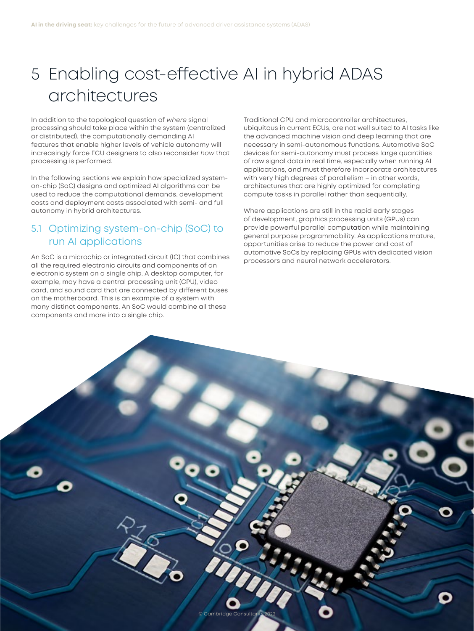# <span id="page-11-0"></span>5 Enabling cost-effective AI in hybrid ADAS architectures

In addition to the topological question of *where* signal processing should take place within the system (centralized or distributed), the computationally demanding AI features that enable higher levels of vehicle autonomy will increasingly force ECU designers to also reconsider *how* that processing is performed.

In the following sections we explain how specialized systemon-chip (SoC) designs and optimized AI algorithms can be used to reduce the computational demands, development costs and deployment costs associated with semi- and full autonomy in hybrid architectures.

## 5.1 Optimizing system-on-chip (SoC) to run AI applications

An SoC is a microchip or integrated circuit (IC) that combines all the required electronic circuits and components of an electronic system on a single chip. A desktop computer, for example, may have a central processing unit (CPU), video card, and sound card that are connected by different buses on the motherboard. This is an example of a system with many distinct components. An SoC would combine all these components and more into a single chip.

Traditional CPU and microcontroller architectures, ubiquitous in current ECUs, are not well suited to AI tasks like the advanced machine vision and deep learning that are necessary in semi-autonomous functions. Automotive SoC devices for semi-autonomy must process large quantities of raw signal data in real time, especially when running AI applications, and must therefore incorporate architectures with very high degrees of parallelism – in other words, architectures that are highly optimized for completing compute tasks in parallel rather than sequentially.

Where applications are still in the rapid early stages of development, graphics processing units (GPUs) can provide powerful parallel computation while maintaining general purpose programmability. As applications mature, opportunities arise to reduce the power and cost of automotive SoCs by replacing GPUs with dedicated vision processors and neural network accelerators.

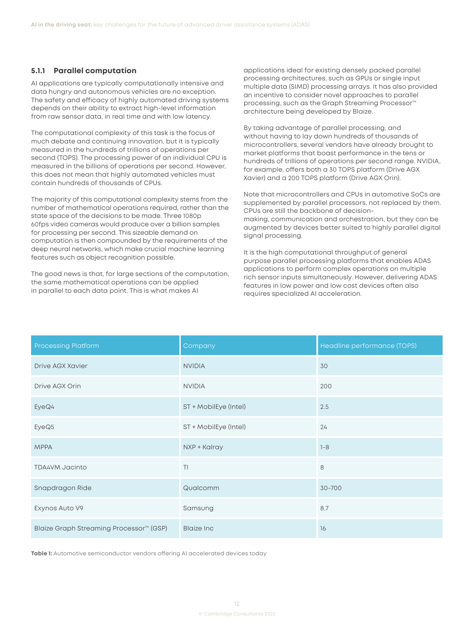#### <span id="page-12-0"></span>**5.1.1 Parallel computation**

AI applications are typically computationally intensive and data hungry and autonomous vehicles are no exception. The safety and efficacy of highly automated driving systems depends on their ability to extract high-level information from raw sensor data, in real time and with low latency.

The computational complexity of this task is the focus of much debate and continuing innovation, but it is typically measured in the hundreds of trillions of operations per second (TOPS). The processing power of an individual CPU is measured in the billions of operations per second. However, this does not mean that highly automated vehicles must contain hundreds of thousands of CPUs.

The majority of this computational complexity stems from the number of mathematical operations required, rather than the state space of the decisions to be made. Three 1080p 60fps video cameras would produce over a billion samples for processing per second. This sizeable demand on computation is then compounded by the requirements of the deep neural networks, which make crucial machine learning features such as object recognition possible.

The good news is that, for large sections of the computation, the same mathematical operations can be applied in parallel to each data point. This is what makes AI

applications ideal for existing densely packed parallel processing architectures, such as GPUs or single input multiple data (SIMD) processing arrays. It has also provided an incentive to consider novel approaches to parallel processing, such as the Graph Streaming Processor™ architecture being developed by Blaize.

By taking advantage of parallel processing, and without having to lay down hundreds of thousands of microcontrollers, several vendors have already brought to market platforms that boast performance in the tens or hundreds of trillions of operations per second range. NVIDIA, for example, offers both a 30 TOPS platform (Drive AGX Xavier) and a 200 TOPS platform (Drive AGX Orin).

Note that microcontrollers and CPUs in automotive SoCs are supplemented by parallel processors, not replaced by them. CPUs are still the backbone of decisionmaking, communication and orchestration, but they can be augmented by devices better suited to highly parallel digital signal processing.

It is the high computational throughput of general purpose parallel processing platforms that enables ADAS applications to perform complex operations on multiple rich sensor inputs simultaneously. However, delivering ADAS features in low power and low cost devices often also requires specialized AI acceleration.

| <b>Processing Platform</b>                          | Company               | Headline performance (TOPS) |
|-----------------------------------------------------|-----------------------|-----------------------------|
| Drive AGX Xavier                                    | <b>NVIDIA</b>         | 30                          |
| Drive AGX Orin                                      | <b>NVIDIA</b>         | 200                         |
| EyeQ4                                               | ST + MobilEye (Intel) | 2.5                         |
| EyeQ5                                               | ST + MobilEye (Intel) | 24                          |
| <b>MPPA</b>                                         | NXP + Kalray          | $1 - 8$                     |
| TDA4VM Jacinto                                      | T <sub>1</sub>        | 8                           |
| Snapdragon Ride                                     | Qualcomm              | 30-700                      |
| Exynos Auto V9                                      | Samsung               | 8.7                         |
| Blaize Graph Streaming Processor <sup>™</sup> (GSP) | <b>Blaize Inc</b>     | 16                          |

**Table 1:** Automotive semiconductor vendors offering AI accelerated devices today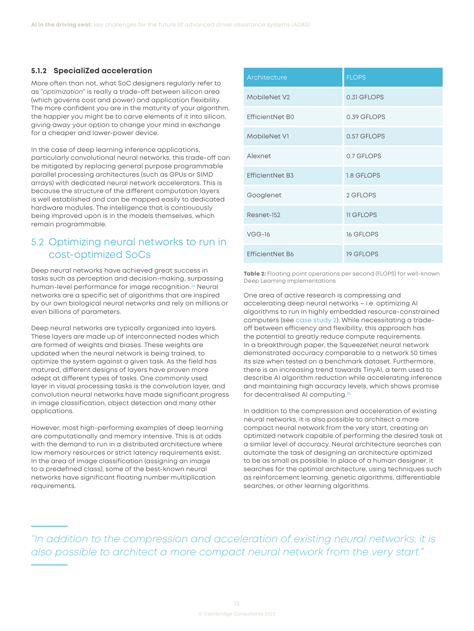### <span id="page-13-0"></span>**5.1.2 SpecialiZed acceleration**

More often than not, what SoC designers regularly refer to as "*optimization*" is really a trade-off between silicon area (which governs cost and power) and application flexibility. The more confident you are in the maturity of your algorithm, the happier you might be to carve elements of it into silicon, giving away your option to change your mind in exchange for a cheaper and lower-power device.

In the case of deep learning inference applications, particularly convolutional neural networks, this trade-off can be mitigated by replacing general purpose programmable parallel processing architectures (such as GPUs or SIMD arrays) with dedicated neural network accelerators. This is because the structure of the different computation layers is well established and can be mapped easily to dedicated hardware modules. The intelligence that is continuously being improved upon is in the models themselves, which remain programmable.

## 5.2 Optimizing neural networks to run in cost-optimized SoCs

Deep neural networks have achieved great success in tasks such as perception and decision-making, surpassing human-level performance for image recognition.<sup>24</sup> Neural networks are a specific set of algorithms that are inspired by our own biological neural networks and rely on millions or even billions of parameters.

Deep neural networks are typically organized into layers. These layers are made up of interconnected nodes which are formed of weights and biases. These weights are updated when the neural network is being trained, to optimize the system against a given task. As the field has matured, different designs of layers have proven more adept at different types of tasks. One commonly used layer in visual processing tasks is the convolution layer, and convolution neural networks have made significant progress in image classification, object detection and many other applications.

However, most high-performing examples of deep learning are computationally and memory intensive. This is at odds with the demand to run in a distributed architecture where low memory resources or strict latency requirements exist. In the area of image classification (assigning an image to a predefined class), some of the best-known neural networks have significant floating number multiplication requirements.

| Architecture           | <b>FLOPS</b>     |
|------------------------|------------------|
| MobileNet V2           | 0.31 GFLOPS      |
| EfficientNet B0        | 0.39 GFLOPS      |
| MobileNet V1           | 0.57 GFLOPS      |
| Alexnet                | 0.7 GFLOPS       |
| <b>EfficientNet B3</b> | 1.8 GFLOPS       |
| Googlenet              | 2 GFLOPS         |
| Resnet-152             | <b>11 GFLOPS</b> |
| $VGG-16$               | <b>16 GFLOPS</b> |
| <b>EfficientNet B6</b> | <b>19 GFLOPS</b> |

**Table 2:** Floating point operations per second (FLOPS) for well-known Deep Learning implementations

One area of active research is compressing and accelerating deep neural networks – i.e. optimizing AI algorithms to run in highly embedded resource-constrained computers [\(see case study 2\)](#page-14-0). While necessitating a tradeoff between efficiency and flexibility, this approach has the potential to greatly reduce compute requirements. In a breakthrough paper, the SqueezeNet neural network demonstrated accuracy comparable to a network 50 times its size when tested on a benchmark dataset. Furthermore, there is an increasing trend towards TinyAI, a term used to describe AI algorithm reduction while accelerating inference and maintaining high accuracy levels, which shows promise for decentralised AI computing.[25](#page-16-0)

In addition to the compression and acceleration of existing neural networks, it is also possible to architect a more compact neural network from the very start, creating an optimized network capable of performing the desired task at a similar level of accuracy. Neural architecture searches can automate the task of designing an architecture optimized to be as small as possible. In place of a human designer, it searches for the optimal architecture, using techniques such as reinforcement learning, genetic algorithms, differentiable searches, or other learning algorithms.

*"In addition to the compression and acceleration of existing neural networks, it is also possible to architect a more compact neural network from the very start."*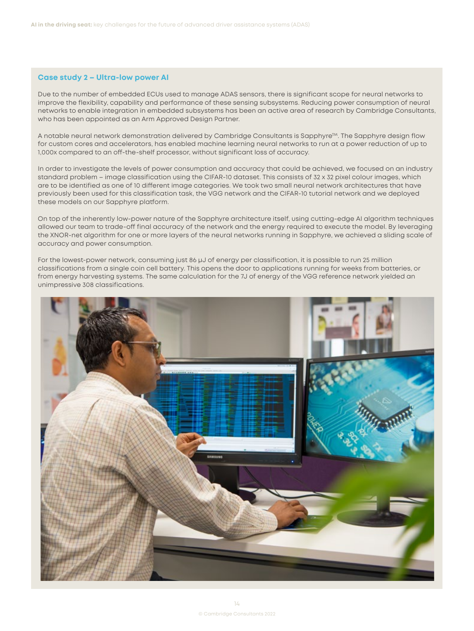#### <span id="page-14-0"></span>**Case study 2 – Ultra-low power AI**

Due to the number of embedded ECUs used to manage ADAS sensors, there is significant scope for neural networks to improve the flexibility, capability and performance of these sensing subsystems. Reducing power consumption of neural networks to enable integration in embedded subsystems has been an active area of research by Cambridge Consultants, who has been appointed as an Arm Approved Design Partner.

A notable neural network demonstration delivered by Cambridge Consultants is Sapphyre<sup>TM</sup>. The Sapphyre design flow for custom cores and accelerators, has enabled machine learning neural networks to run at a power reduction of up to 1,000x compared to an off-the-shelf processor, without significant loss of accuracy.

In order to investigate the levels of power consumption and accuracy that could be achieved, we focused on an industry standard problem – image classification using the [CIFAR-10](https://github.com/tensorflow/models/tree/master/tutorials/image/cifar10) dataset. This consists of 32 x 32 pixel colour images, which are to be identified as one of 10 different image categories. We took two small neural network architectures that have previously been used for this classification task, the VGG network and the CIFAR-10 tutorial network and we deployed these models on our Sapphyre platform.

On top of the inherently low-power nature of the Sapphyre architecture itself, using cutting-edge AI algorithm techniques allowed our team to trade-off final accuracy of the network and the energy required to execute the model. By leveraging the XNOR-net algorithm for one or more layers of the neural networks running in Sapphyre, we achieved a sliding scale of accuracy and power consumption.

For the lowest-power network, consuming just 86 µJ of energy per classification, it is possible to run 25 million classifications from a single coin cell battery. This opens the door to applications running for weeks from batteries, or from energy harvesting systems. The same calculation for the 7J of energy of the VGG reference network yielded an unimpressive 308 classifications.

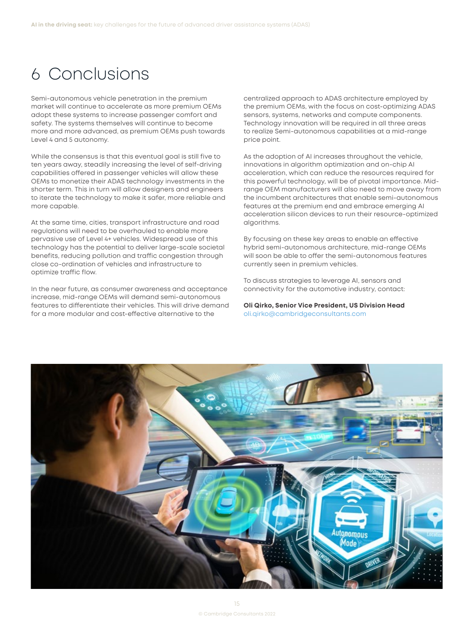# <span id="page-15-0"></span>6 Conclusions

Semi-autonomous vehicle penetration in the premium market will continue to accelerate as more premium OEMs adopt these systems to increase passenger comfort and safety. The systems themselves will continue to become more and more advanced, as premium OEMs push towards Level 4 and 5 autonomy.

While the consensus is that this eventual goal is still five to ten years away, steadily increasing the level of self-driving capabilities offered in passenger vehicles will allow these OEMs to monetize their ADAS technology investments in the shorter term. This in turn will allow designers and engineers to iterate the technology to make it safer, more reliable and more capable.

At the same time, cities, transport infrastructure and road regulations will need to be overhauled to enable more pervasive use of Level 4+ vehicles. Widespread use of this technology has the potential to deliver large-scale societal benefits, reducing pollution and traffic congestion through close co-ordination of vehicles and infrastructure to optimize traffic flow.

In the near future, as consumer awareness and acceptance increase, mid-range OEMs will demand semi-autonomous features to differentiate their vehicles. This will drive demand for a more modular and cost-effective alternative to the

centralized approach to ADAS architecture employed by the premium OEMs, with the focus on cost-optimizing ADAS sensors, systems, networks and compute components. Technology innovation will be required in all three areas to realize Semi-autonomous capabilities at a mid-range price point.

As the adoption of AI increases throughout the vehicle, innovations in algorithm optimization and on-chip AI acceleration, which can reduce the resources required for this powerful technology, will be of pivotal importance. Midrange OEM manufacturers will also need to move away from the incumbent architectures that enable semi-autonomous features at the premium end and embrace emerging AI acceleration silicon devices to run their resource-optimized algorithms.

By focusing on these key areas to enable an effective hybrid semi-autonomous architecture, mid-range OEMs will soon be able to offer the semi-autonomous features currently seen in premium vehicles.

To discuss strategies to leverage AI, sensors and connectivity for the automotive industry, contact:

**Oli Qirko, Senior Vice President, US Division Head**  [oli.qirko@cambridgeconsultants.com](mailto:oli.qirko@cambridgeconsultants.com)

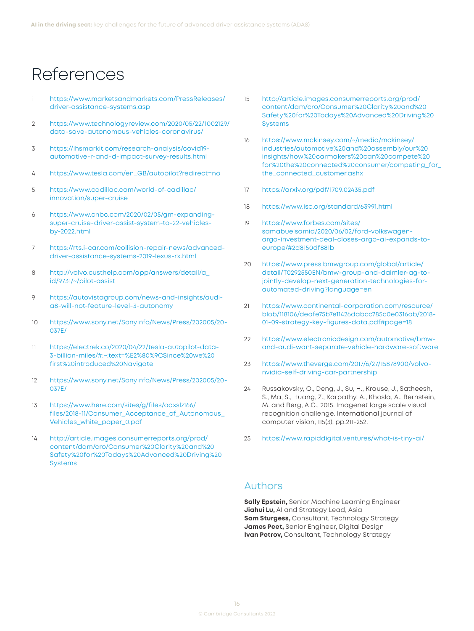## <span id="page-16-0"></span>References

- [1](#page-2-0) [https://www.marketsandmarkets.com/PressReleases/](https://www.marketsandmarkets.com/PressReleases/driver-assistance-systems.asp) [driver-assistance-systems.asp](https://www.marketsandmarkets.com/PressReleases/driver-assistance-systems.asp)
- [2](#page-2-0) [https://www.technologyreview.com/2020/05/22/1002129/](https://www.technologyreview.com/2020/05/22/1002129/data-save-autonomous-vehicles-coronavirus/) [data-save-autonomous-vehicles-coronavirus/](https://www.technologyreview.com/2020/05/22/1002129/data-save-autonomous-vehicles-coronavirus/)
- [3](#page-2-0) [https://ihsmarkit.com/research-analysis/covid19](https://ihsmarkit.com/research-analysis/covid19-automotive-r-and-d-impact-survey-results.html) [automotive-r-and-d-impact-survey-results.html](https://ihsmarkit.com/research-analysis/covid19-automotive-r-and-d-impact-survey-results.html)
- [4](#page-5-0) [https://www.tesla.com/en\\_GB/autopilot?redirect=no](https://www.tesla.com/en_GB/autopilot?redirect=no)
- [5](#page-5-0) [https://www.cadillac.com/world-of-cadillac/](https://www.cadillac.com/world-of-cadillac/innovation/super-cruise) [innovation/super-cruise](https://www.cadillac.com/world-of-cadillac/innovation/super-cruise)
- [6](#page-5-0) [https://www.cnbc.com/2020/02/05/gm-expanding](https://www.cnbc.com/2020/02/05/gm-expanding-super-cruise-driver-assist-system-to-22-vehicles-by-2022.html)[super-cruise-driver-assist-system-to-22-vehicles](https://www.cnbc.com/2020/02/05/gm-expanding-super-cruise-driver-assist-system-to-22-vehicles-by-2022.html)[by-2022.html](https://www.cnbc.com/2020/02/05/gm-expanding-super-cruise-driver-assist-system-to-22-vehicles-by-2022.html)
- [7](#page-5-0) [https://rts.i-car.com/collision-repair-news/advanced](https://rts.i-car.com/collision-repair-news/advanced-driver-assistance-systems-2019-lexus-rx.html)[driver-assistance-systems-2019-lexus-rx.html](https://rts.i-car.com/collision-repair-news/advanced-driver-assistance-systems-2019-lexus-rx.html)
- [8](#page-6-0) [http://volvo.custhelp.com/app/answers/detail/a\\_](http://volvo.custhelp.com/app/answers/detail/a_id/9731/~/pilot-assist) [id/9731/~/pilot-assist](http://volvo.custhelp.com/app/answers/detail/a_id/9731/~/pilot-assist)
- [9](#page-6-0) [https://autovistagroup.com/news-and-insights/audi](https://autovistagroup.com/news-and-insights/audi-a8-will-not-feature-level-3-autonomy)[a8-will-not-feature-level-3-autonomy](https://autovistagroup.com/news-and-insights/audi-a8-will-not-feature-level-3-autonomy)
- [10](#page-6-0) [https://www.sony.net/SonyInfo/News/Press/202005/20-](https://www.sony.net/SonyInfo/News/Press/202005/20-037E/) [037E/](https://www.sony.net/SonyInfo/News/Press/202005/20-037E/)
- [11](#page-7-0) [https://electrek.co/2020/04/22/tesla-autopilot-data-](https://electrek.co/2020/04/22/tesla-autopilot-data-3-billion-miles/#)[3-billion-miles/#](https://electrek.co/2020/04/22/tesla-autopilot-data-3-billion-miles/#):~:text=%E2%80%9CSince%20we%20 first%20introduced%20Navigate
- [12](#page-7-0) [https://www.sony.net/SonyInfo/News/Press/202005/20-](https://www.sony.net/SonyInfo/News/Press/202005/20-037E/) [037E/](https://www.sony.net/SonyInfo/News/Press/202005/20-037E/)
- [13](#page-7-0) [https://www.here.com/sites/g/files/odxslz166/](https://www.here.com/sites/g/files/odxslz166/files/2018-11/Consumer_Acceptance_of_Autonomous_Vehicles_white_paper_0.pdf) [files/2018-11/Consumer\\_Acceptance\\_of\\_Autonomous\\_](https://www.here.com/sites/g/files/odxslz166/files/2018-11/Consumer_Acceptance_of_Autonomous_Vehicles_white_paper_0.pdf) [Vehicles\\_white\\_paper\\_0.pdf](https://www.here.com/sites/g/files/odxslz166/files/2018-11/Consumer_Acceptance_of_Autonomous_Vehicles_white_paper_0.pdf)
- [14](#page-7-0) [http://article.images.consumerreports.org/prod/](http://article.images.consumerreports.org/prod/content/dam/cro/Consumer%20Clarity%20and%20Safety%20for%20Todays%20Advanced%20Driving%20Systems) [content/dam/cro/Consumer%20Clarity%20and%20](http://article.images.consumerreports.org/prod/content/dam/cro/Consumer%20Clarity%20and%20Safety%20for%20Todays%20Advanced%20Driving%20Systems) [Safety%20for%20Todays%20Advanced%20Driving%20](http://article.images.consumerreports.org/prod/content/dam/cro/Consumer%20Clarity%20and%20Safety%20for%20Todays%20Advanced%20Driving%20Systems) **[Systems](http://article.images.consumerreports.org/prod/content/dam/cro/Consumer%20Clarity%20and%20Safety%20for%20Todays%20Advanced%20Driving%20Systems)**
- [15](#page-7-0) [http://article.images.consumerreports.org/prod/](http://article.images.consumerreports.org/prod/content/dam/cro/Consumer%20Clarity%20and%20Safety%20for%20Todays%20Advanced%20Driving%20Systems) [content/dam/cro/Consumer%20Clarity%20and%20](http://article.images.consumerreports.org/prod/content/dam/cro/Consumer%20Clarity%20and%20Safety%20for%20Todays%20Advanced%20Driving%20Systems) [Safety%20for%20Todays%20Advanced%20Driving%20](http://article.images.consumerreports.org/prod/content/dam/cro/Consumer%20Clarity%20and%20Safety%20for%20Todays%20Advanced%20Driving%20Systems) [Systems](http://article.images.consumerreports.org/prod/content/dam/cro/Consumer%20Clarity%20and%20Safety%20for%20Todays%20Advanced%20Driving%20Systems)
- [16](#page-7-0) [https://www.mckinsey.com/~/media/mckinsey/](https://www.mckinsey.com/~/media/mckinsey/industries/automotive%20and%20assembly/our%20insights/how%20carmakers%20can%20compete%20for%20the%20connected%20consumer/competing_for_the_connected_customer.ashx) [industries/automotive%20and%20assembly/our%20](https://www.mckinsey.com/~/media/mckinsey/industries/automotive%20and%20assembly/our%20insights/how%20carmakers%20can%20compete%20for%20the%20connected%20consumer/competing_for_the_connected_customer.ashx) [insights/how%20carmakers%20can%20compete%20](https://www.mckinsey.com/~/media/mckinsey/industries/automotive%20and%20assembly/our%20insights/how%20carmakers%20can%20compete%20for%20the%20connected%20consumer/competing_for_the_connected_customer.ashx) [for%20the%20connected%20consumer/competing\\_for\\_](https://www.mckinsey.com/~/media/mckinsey/industries/automotive%20and%20assembly/our%20insights/how%20carmakers%20can%20compete%20for%20the%20connected%20consumer/competing_for_the_connected_customer.ashx) [the\\_connected\\_customer.ashx](https://www.mckinsey.com/~/media/mckinsey/industries/automotive%20and%20assembly/our%20insights/how%20carmakers%20can%20compete%20for%20the%20connected%20consumer/competing_for_the_connected_customer.ashx)
- [17](#page-8-0) <https://arxiv.org/pdf/1709.02435.pdf>
- [18](#page-8-0) <https://www.iso.org/standard/63991.html>
- [19](#page-8-0) [https://www.forbes.com/sites/](https://www.forbes.com/sites/samabuelsamid/2020/06/02/ford-volkswagen-argo-investment-deal-closes-argo-ai-expands-to-europe/#2d8150df881b) [samabuelsamid/2020/06/02/ford-volkswagen](https://www.forbes.com/sites/samabuelsamid/2020/06/02/ford-volkswagen-argo-investment-deal-closes-argo-ai-expands-to-europe/#2d8150df881b)[argo-investment-deal-closes-argo-ai-expands-to](https://www.forbes.com/sites/samabuelsamid/2020/06/02/ford-volkswagen-argo-investment-deal-closes-argo-ai-expands-to-europe/#2d8150df881b)[europe/#2d8150df881b](https://www.forbes.com/sites/samabuelsamid/2020/06/02/ford-volkswagen-argo-investment-deal-closes-argo-ai-expands-to-europe/#2d8150df881b)
- [20](#page-8-0) [https://www.press.bmwgroup.com/global/article/](https://www.press.bmwgroup.com/global/article/detail/T0292550EN/bmw-group-and-daimler-ag-to-jointly-develop-next-generation-technologies-for-automated-driving?language=en) [detail/T0292550EN/bmw-group-and-daimler-ag-to](https://www.press.bmwgroup.com/global/article/detail/T0292550EN/bmw-group-and-daimler-ag-to-jointly-develop-next-generation-technologies-for-automated-driving?language=en)[jointly-develop-next-generation-technologies-for](https://www.press.bmwgroup.com/global/article/detail/T0292550EN/bmw-group-and-daimler-ag-to-jointly-develop-next-generation-technologies-for-automated-driving?language=en)[automated-driving?language=en](https://www.press.bmwgroup.com/global/article/detail/T0292550EN/bmw-group-and-daimler-ag-to-jointly-develop-next-generation-technologies-for-automated-driving?language=en)
- [21](#page-9-0) https://www.continental-corporation.com/resource/ blob/118106/deafe75b7e11426dabcc785c0e0316ab/2018- 01-09-strategy-key-figures-data.pdf#page=18
- [22](#page-9-0) [https://www.electronicdesign.com/automotive/bmw](https://www.electronicdesign.com/automotive/bmw-and-audi-want-separate-vehicle-hardware-software)[and-audi-want-separate-vehicle-hardware-software](https://www.electronicdesign.com/automotive/bmw-and-audi-want-separate-vehicle-hardware-software)
- [23](#page-9-0) [https://www.theverge.com/2017/6/27/15878900/volvo](https://www.theverge.com/2017/6/27/15878900/volvo-nvidia-self-driving-car-partnership)[nvidia-self-driving-car-partnership](https://www.theverge.com/2017/6/27/15878900/volvo-nvidia-self-driving-car-partnership)
- [24](#page-13-0) Russakovsky, O., Deng, J., Su, H., Krause, J., Satheesh, S., Ma, S., Huang, Z., Karpathy, A., Khosla, A., Bernstein, M. and Berg, A.C., 2015. Imagenet large scale visual recognition challenge. International journal of computer vision, 115(3), pp.211-252.
- [25](#page-13-0) <https://www.rapiddigital.ventures/what-is-tiny-ai/>

### Authors

**Sally Epstein,** Senior Machine Learning Engineer **Jiahui Lu,** AI and Strategy Lead, Asia **Sam Sturgess,** Consultant, Technology Strategy **James Peet,** Senior Engineer, Digital Design **Ivan Petrov,** Consultant, Technology Strategy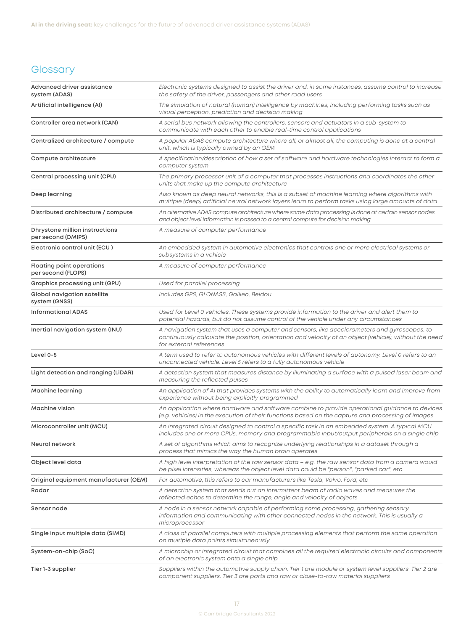## <span id="page-17-0"></span>**Glossary**

| Advanced driver assistance<br>system (ADAS)            | Electronic systems designed to assist the driver and, in some instances, assume control to increase<br>the safety of the driver, passengers and other road users                                                                  |  |  |
|--------------------------------------------------------|-----------------------------------------------------------------------------------------------------------------------------------------------------------------------------------------------------------------------------------|--|--|
| Artificial intelligence (AI)                           | The simulation of natural (human) intelligence by machines, including performing tasks such as<br>visual perception, prediction and decision making                                                                               |  |  |
| Controller area network (CAN)                          | A serial bus network allowing the controllers, sensors and actuators in a sub-system to<br>communicate with each other to enable real-time control applications                                                                   |  |  |
| Centralized architecture / compute                     | A popular ADAS compute architecture where all, or almost all, the computing is done at a central<br>unit, which is typically owned by an OEM                                                                                      |  |  |
| Compute architecture                                   | A specification/description of how a set of software and hardware technologies interact to form a<br>computer system                                                                                                              |  |  |
| Central processing unit (CPU)                          | The primary processor unit of a computer that processes instructions and coordinates the other<br>units that make up the compute architecture                                                                                     |  |  |
| Deep learning                                          | Also known as deep neural networks, this is a subset of machine learning where algorithms with<br>multiple (deep) artificial neural network layers learn to perform tasks using large amounts of data                             |  |  |
| Distributed architecture / compute                     | An alternative ADAS compute architecture where some data processing is done at certain sensor nodes<br>and object level information is passed to a central compute for decision making                                            |  |  |
| Dhrystone million instructions<br>per second (DMIPS)   | A measure of computer performance                                                                                                                                                                                                 |  |  |
| Electronic control unit (ECU)                          | An embedded system in automotive electronics that controls one or more electrical systems or<br>subsystems in a vehicle                                                                                                           |  |  |
| <b>Floating point operations</b><br>per second (FLOPS) | A measure of computer performance                                                                                                                                                                                                 |  |  |
| Graphics processing unit (GPU)                         | Used for parallel processing                                                                                                                                                                                                      |  |  |
| Global navigation satellite<br>system (GNSS)           | Includes GPS, GLONASS, Galileo, Beidou                                                                                                                                                                                            |  |  |
| <b>Informational ADAS</b>                              | Used for Level 0 vehicles. These systems provide information to the driver and alert them to<br>potential hazards, but do not assume control of the vehicle under any circumstances                                               |  |  |
| Inertial navigation system (INU)                       | A navigation system that uses a computer and sensors, like accelerometers and gyroscopes, to<br>continuously calculate the position, orientation and velocity of an object (vehicle), without the need<br>for external references |  |  |
| Level 0-5                                              | A term used to refer to autonomous vehicles with different levels of autonomy. Level 0 refers to an<br>unconnected vehicle. Level 5 refers to a fully autonomous vehicle                                                          |  |  |
| Light detection and ranging (LiDAR)                    | A detection system that measures distance by illuminating a surface with a pulsed laser beam and<br>measuring the reflected pulses                                                                                                |  |  |
| Machine learning                                       | An application of AI that provides systems with the ability to automatically learn and improve from<br>experience without being explicitly programmed                                                                             |  |  |
| Machine vision                                         | An application where hardware and software combine to provide operational guidance to devices<br>(e.g. vehicles) in the execution of their functions based on the capture and processing of images                                |  |  |
| Microcontroller unit (MCU)                             | An integrated circuit designed to control a specific task in an embedded system. A typical MCU<br>includes one or more CPUs, memory and programmable input/output peripherals on a single chip                                    |  |  |
| Neural network                                         | A set of algorithms which aims to recognize underlying relationships in a dataset through a<br>process that mimics the way the human brain operates                                                                               |  |  |
| Object level data                                      | A high level interpretation of the raw sensor data – e.g. the raw sensor data from a camera would<br>be pixel intensities, whereas the object level data could be "person", "parked car", etc.                                    |  |  |
| Original equipment manufacturer (OEM)                  | For automotive, this refers to car manufacturers like Tesla, Volvo, Ford, etc                                                                                                                                                     |  |  |
| Radar                                                  | A detection system that sends out an intermittent beam of radio waves and measures the<br>reflected echos to determine the range, angle and velocity of objects                                                                   |  |  |
| Sensor node                                            | A node in a sensor network capable of performing some processing, gathering sensory<br>information and communicating with other connected nodes in the network. This is usually a<br>microprocessor                               |  |  |
| Single input multiple data (SIMD)                      | A class of parallel computers with multiple processing elements that perform the same operation<br>on multiple data points simultaneously                                                                                         |  |  |
| System-on-chip (SoC)                                   | A microchip or integrated circuit that combines all the required electronic circuits and components<br>of an electronic system onto a single chip                                                                                 |  |  |
| Tier 1-3 supplier                                      | Suppliers within the automotive supply chain. Tier 1 are module or system level suppliers. Tier 2 are<br>component suppliers. Tier 3 are parts and raw or close-to-raw material suppliers                                         |  |  |